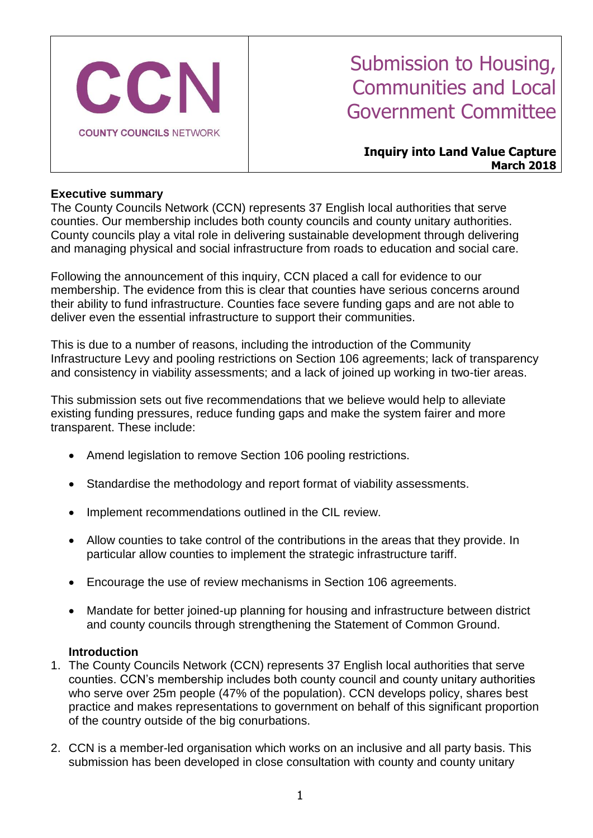

# Submission to Housing, Communities and Local Government Committee

#### **Inquiry into Land Value Capture March 2018**

#### **Executive summary**

The County Councils Network (CCN) represents 37 English local authorities that serve counties. Our membership includes both county councils and county unitary authorities. County councils play a vital role in delivering sustainable development through delivering and managing physical and social infrastructure from roads to education and social care.

Following the announcement of this inquiry, CCN placed a call for evidence to our membership. The evidence from this is clear that counties have serious concerns around their ability to fund infrastructure. Counties face severe funding gaps and are not able to deliver even the essential infrastructure to support their communities.

This is due to a number of reasons, including the introduction of the Community Infrastructure Levy and pooling restrictions on Section 106 agreements; lack of transparency and consistency in viability assessments; and a lack of joined up working in two-tier areas.

This submission sets out five recommendations that we believe would help to alleviate existing funding pressures, reduce funding gaps and make the system fairer and more transparent. These include:

- Amend legislation to remove Section 106 pooling restrictions.
- Standardise the methodology and report format of viability assessments.
- Implement recommendations outlined in the CIL review.
- Allow counties to take control of the contributions in the areas that they provide. In particular allow counties to implement the strategic infrastructure tariff.
- Encourage the use of review mechanisms in Section 106 agreements.
- Mandate for better joined-up planning for housing and infrastructure between district and county councils through strengthening the Statement of Common Ground.

#### **Introduction**

- 1. The County Councils Network (CCN) represents 37 English local authorities that serve counties. CCN's membership includes both county council and county unitary authorities who serve over 25m people (47% of the population). CCN develops policy, shares best practice and makes representations to government on behalf of this significant proportion of the country outside of the big conurbations.
- 2. CCN is a member-led organisation which works on an inclusive and all party basis. This submission has been developed in close consultation with county and county unitary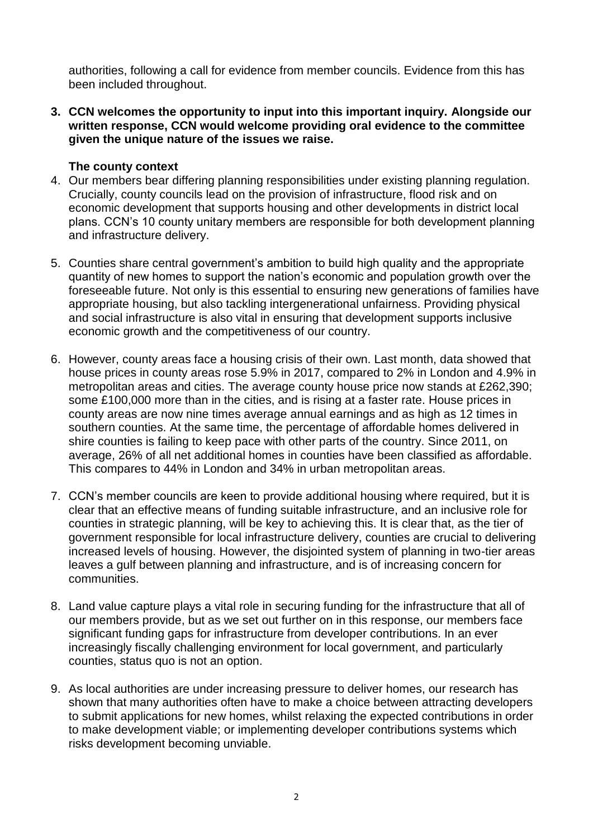authorities, following a call for evidence from member councils. Evidence from this has been included throughout.

**3. CCN welcomes the opportunity to input into this important inquiry. Alongside our written response, CCN would welcome providing oral evidence to the committee given the unique nature of the issues we raise.**

# **The county context**

- 4. Our members bear differing planning responsibilities under existing planning regulation. Crucially, county councils lead on the provision of infrastructure, flood risk and on economic development that supports housing and other developments in district local plans. CCN's 10 county unitary members are responsible for both development planning and infrastructure delivery.
- 5. Counties share central government's ambition to build high quality and the appropriate quantity of new homes to support the nation's economic and population growth over the foreseeable future. Not only is this essential to ensuring new generations of families have appropriate housing, but also tackling intergenerational unfairness. Providing physical and social infrastructure is also vital in ensuring that development supports inclusive economic growth and the competitiveness of our country.
- 6. However, county areas face a housing crisis of their own. Last month, data showed that house prices in county areas rose 5.9% in 2017, compared to 2% in London and 4.9% in metropolitan areas and cities. The average county house price now stands at £262,390; some £100,000 more than in the cities, and is rising at a faster rate. House prices in county areas are now nine times average annual earnings and as high as 12 times in southern counties. At the same time, the percentage of affordable homes delivered in shire counties is failing to keep pace with other parts of the country. Since 2011, on average, 26% of all net additional homes in counties have been classified as affordable. This compares to 44% in London and 34% in urban metropolitan areas.
- 7. CCN's member councils are keen to provide additional housing where required, but it is clear that an effective means of funding suitable infrastructure, and an inclusive role for counties in strategic planning, will be key to achieving this. It is clear that, as the tier of government responsible for local infrastructure delivery, counties are crucial to delivering increased levels of housing. However, the disjointed system of planning in two-tier areas leaves a gulf between planning and infrastructure, and is of increasing concern for communities.
- 8. Land value capture plays a vital role in securing funding for the infrastructure that all of our members provide, but as we set out further on in this response, our members face significant funding gaps for infrastructure from developer contributions. In an ever increasingly fiscally challenging environment for local government, and particularly counties, status quo is not an option.
- 9. As local authorities are under increasing pressure to deliver homes, our research has shown that many authorities often have to make a choice between attracting developers to submit applications for new homes, whilst relaxing the expected contributions in order to make development viable; or implementing developer contributions systems which risks development becoming unviable.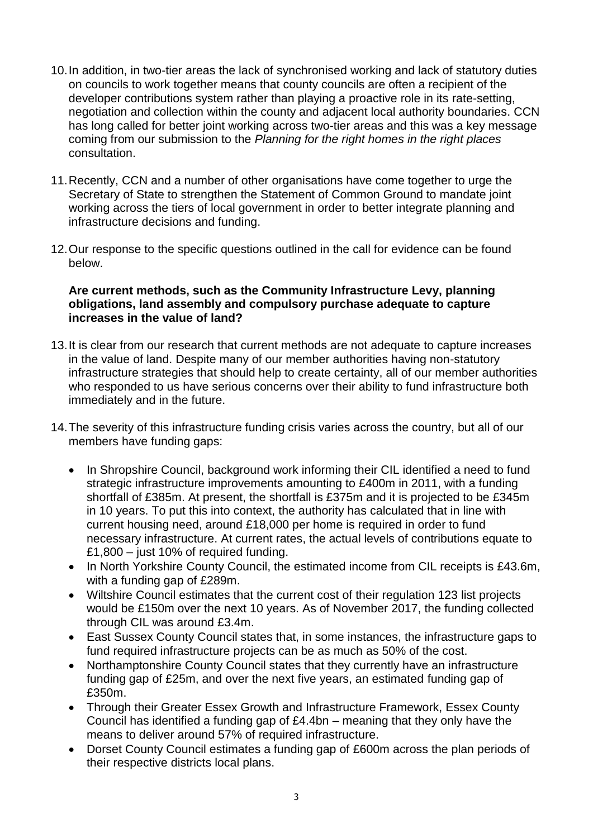- 10.In addition, in two-tier areas the lack of synchronised working and lack of statutory duties on councils to work together means that county councils are often a recipient of the developer contributions system rather than playing a proactive role in its rate-setting, negotiation and collection within the county and adjacent local authority boundaries. CCN has long called for better joint working across two-tier areas and this was a key message coming from our submission to the *Planning for the right homes in the right places* consultation.
- 11.Recently, CCN and a number of other organisations have come together to urge the Secretary of State to strengthen the Statement of Common Ground to mandate joint working across the tiers of local government in order to better integrate planning and infrastructure decisions and funding.
- 12.Our response to the specific questions outlined in the call for evidence can be found below.

#### **Are current methods, such as the Community Infrastructure Levy, planning obligations, land assembly and compulsory purchase adequate to capture increases in the value of land?**

- 13.It is clear from our research that current methods are not adequate to capture increases in the value of land. Despite many of our member authorities having non-statutory infrastructure strategies that should help to create certainty, all of our member authorities who responded to us have serious concerns over their ability to fund infrastructure both immediately and in the future.
- 14.The severity of this infrastructure funding crisis varies across the country, but all of our members have funding gaps:
	- In Shropshire Council, background work informing their CIL identified a need to fund strategic infrastructure improvements amounting to £400m in 2011, with a funding shortfall of £385m. At present, the shortfall is £375m and it is projected to be £345m in 10 years. To put this into context, the authority has calculated that in line with current housing need, around £18,000 per home is required in order to fund necessary infrastructure. At current rates, the actual levels of contributions equate to £1,800 – just 10% of required funding.
	- In North Yorkshire County Council, the estimated income from CIL receipts is £43.6m, with a funding gap of £289m.
	- Wiltshire Council estimates that the current cost of their regulation 123 list projects would be £150m over the next 10 years. As of November 2017, the funding collected through CIL was around £3.4m.
	- East Sussex County Council states that, in some instances, the infrastructure gaps to fund required infrastructure projects can be as much as 50% of the cost.
	- Northamptonshire County Council states that they currently have an infrastructure funding gap of £25m, and over the next five years, an estimated funding gap of £350m.
	- Through their Greater Essex Growth and Infrastructure Framework, Essex County Council has identified a funding gap of £4.4bn – meaning that they only have the means to deliver around 57% of required infrastructure.
	- Dorset County Council estimates a funding gap of £600m across the plan periods of their respective districts local plans.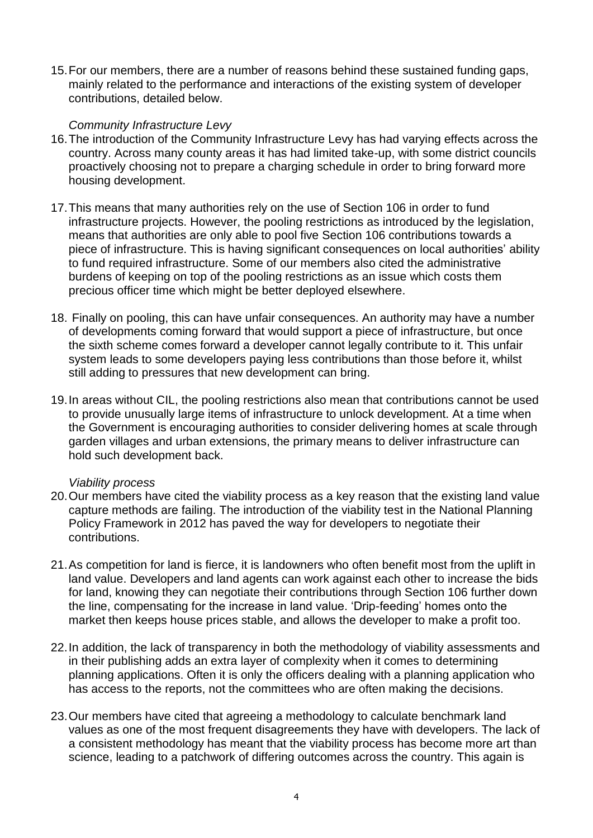15.For our members, there are a number of reasons behind these sustained funding gaps, mainly related to the performance and interactions of the existing system of developer contributions, detailed below.

#### *Community Infrastructure Levy*

- 16.The introduction of the Community Infrastructure Levy has had varying effects across the country. Across many county areas it has had limited take-up, with some district councils proactively choosing not to prepare a charging schedule in order to bring forward more housing development.
- 17.This means that many authorities rely on the use of Section 106 in order to fund infrastructure projects. However, the pooling restrictions as introduced by the legislation, means that authorities are only able to pool five Section 106 contributions towards a piece of infrastructure. This is having significant consequences on local authorities' ability to fund required infrastructure. Some of our members also cited the administrative burdens of keeping on top of the pooling restrictions as an issue which costs them precious officer time which might be better deployed elsewhere.
- 18. Finally on pooling, this can have unfair consequences. An authority may have a number of developments coming forward that would support a piece of infrastructure, but once the sixth scheme comes forward a developer cannot legally contribute to it. This unfair system leads to some developers paying less contributions than those before it, whilst still adding to pressures that new development can bring.
- 19.In areas without CIL, the pooling restrictions also mean that contributions cannot be used to provide unusually large items of infrastructure to unlock development. At a time when the Government is encouraging authorities to consider delivering homes at scale through garden villages and urban extensions, the primary means to deliver infrastructure can hold such development back.

#### *Viability process*

- 20.Our members have cited the viability process as a key reason that the existing land value capture methods are failing. The introduction of the viability test in the National Planning Policy Framework in 2012 has paved the way for developers to negotiate their contributions.
- 21.As competition for land is fierce, it is landowners who often benefit most from the uplift in land value. Developers and land agents can work against each other to increase the bids for land, knowing they can negotiate their contributions through Section 106 further down the line, compensating for the increase in land value. 'Drip-feeding' homes onto the market then keeps house prices stable, and allows the developer to make a profit too.
- 22.In addition, the lack of transparency in both the methodology of viability assessments and in their publishing adds an extra layer of complexity when it comes to determining planning applications. Often it is only the officers dealing with a planning application who has access to the reports, not the committees who are often making the decisions.
- 23.Our members have cited that agreeing a methodology to calculate benchmark land values as one of the most frequent disagreements they have with developers. The lack of a consistent methodology has meant that the viability process has become more art than science, leading to a patchwork of differing outcomes across the country. This again is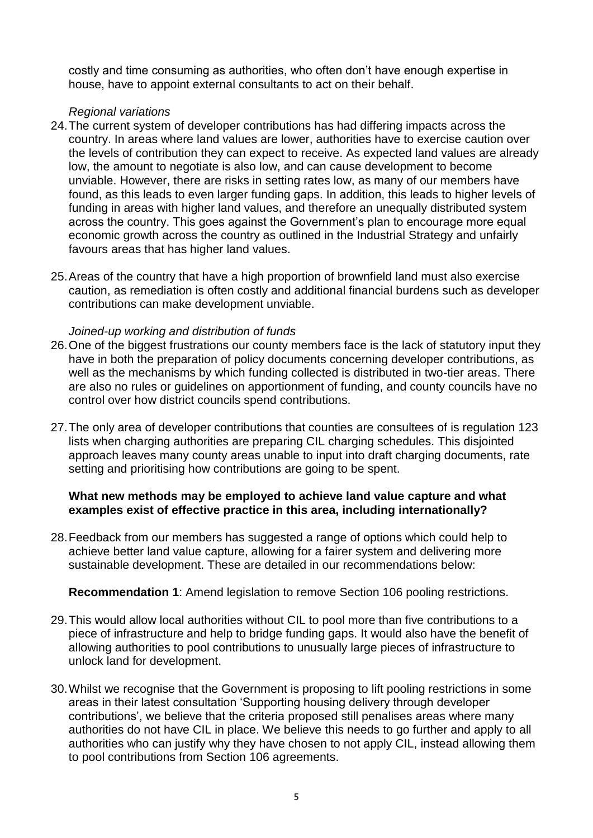costly and time consuming as authorities, who often don't have enough expertise in house, have to appoint external consultants to act on their behalf.

### *Regional variations*

- 24.The current system of developer contributions has had differing impacts across the country. In areas where land values are lower, authorities have to exercise caution over the levels of contribution they can expect to receive. As expected land values are already low, the amount to negotiate is also low, and can cause development to become unviable. However, there are risks in setting rates low, as many of our members have found, as this leads to even larger funding gaps. In addition, this leads to higher levels of funding in areas with higher land values, and therefore an unequally distributed system across the country. This goes against the Government's plan to encourage more equal economic growth across the country as outlined in the Industrial Strategy and unfairly favours areas that has higher land values.
- 25.Areas of the country that have a high proportion of brownfield land must also exercise caution, as remediation is often costly and additional financial burdens such as developer contributions can make development unviable.

# *Joined-up working and distribution of funds*

- 26.One of the biggest frustrations our county members face is the lack of statutory input they have in both the preparation of policy documents concerning developer contributions, as well as the mechanisms by which funding collected is distributed in two-tier areas. There are also no rules or guidelines on apportionment of funding, and county councils have no control over how district councils spend contributions.
- 27.The only area of developer contributions that counties are consultees of is regulation 123 lists when charging authorities are preparing CIL charging schedules. This disjointed approach leaves many county areas unable to input into draft charging documents, rate setting and prioritising how contributions are going to be spent.

# **What new methods may be employed to achieve land value capture and what examples exist of effective practice in this area, including internationally?**

28.Feedback from our members has suggested a range of options which could help to achieve better land value capture, allowing for a fairer system and delivering more sustainable development. These are detailed in our recommendations below:

#### **Recommendation 1**: Amend legislation to remove Section 106 pooling restrictions.

- 29.This would allow local authorities without CIL to pool more than five contributions to a piece of infrastructure and help to bridge funding gaps. It would also have the benefit of allowing authorities to pool contributions to unusually large pieces of infrastructure to unlock land for development.
- 30.Whilst we recognise that the Government is proposing to lift pooling restrictions in some areas in their latest consultation 'Supporting housing delivery through developer contributions', we believe that the criteria proposed still penalises areas where many authorities do not have CIL in place. We believe this needs to go further and apply to all authorities who can justify why they have chosen to not apply CIL, instead allowing them to pool contributions from Section 106 agreements.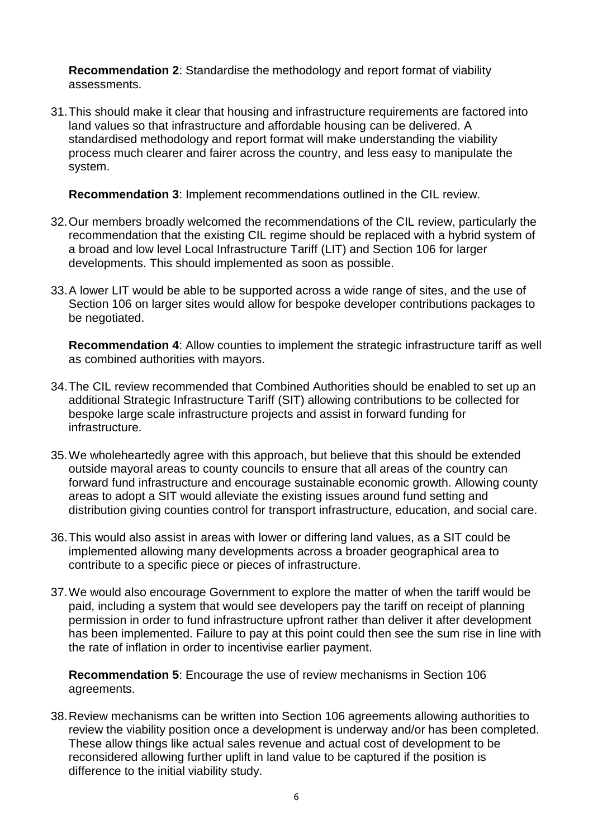**Recommendation 2**: Standardise the methodology and report format of viability assessments.

31.This should make it clear that housing and infrastructure requirements are factored into land values so that infrastructure and affordable housing can be delivered. A standardised methodology and report format will make understanding the viability process much clearer and fairer across the country, and less easy to manipulate the system.

**Recommendation 3**: Implement recommendations outlined in the CIL review.

- 32.Our members broadly welcomed the recommendations of the CIL review, particularly the recommendation that the existing CIL regime should be replaced with a hybrid system of a broad and low level Local Infrastructure Tariff (LIT) and Section 106 for larger developments. This should implemented as soon as possible.
- 33.A lower LIT would be able to be supported across a wide range of sites, and the use of Section 106 on larger sites would allow for bespoke developer contributions packages to be negotiated.

**Recommendation 4**: Allow counties to implement the strategic infrastructure tariff as well as combined authorities with mayors.

- 34.The CIL review recommended that Combined Authorities should be enabled to set up an additional Strategic Infrastructure Tariff (SIT) allowing contributions to be collected for bespoke large scale infrastructure projects and assist in forward funding for infrastructure.
- 35.We wholeheartedly agree with this approach, but believe that this should be extended outside mayoral areas to county councils to ensure that all areas of the country can forward fund infrastructure and encourage sustainable economic growth. Allowing county areas to adopt a SIT would alleviate the existing issues around fund setting and distribution giving counties control for transport infrastructure, education, and social care.
- 36.This would also assist in areas with lower or differing land values, as a SIT could be implemented allowing many developments across a broader geographical area to contribute to a specific piece or pieces of infrastructure.
- 37.We would also encourage Government to explore the matter of when the tariff would be paid, including a system that would see developers pay the tariff on receipt of planning permission in order to fund infrastructure upfront rather than deliver it after development has been implemented. Failure to pay at this point could then see the sum rise in line with the rate of inflation in order to incentivise earlier payment.

**Recommendation 5**: Encourage the use of review mechanisms in Section 106 agreements.

38.Review mechanisms can be written into Section 106 agreements allowing authorities to review the viability position once a development is underway and/or has been completed. These allow things like actual sales revenue and actual cost of development to be reconsidered allowing further uplift in land value to be captured if the position is difference to the initial viability study.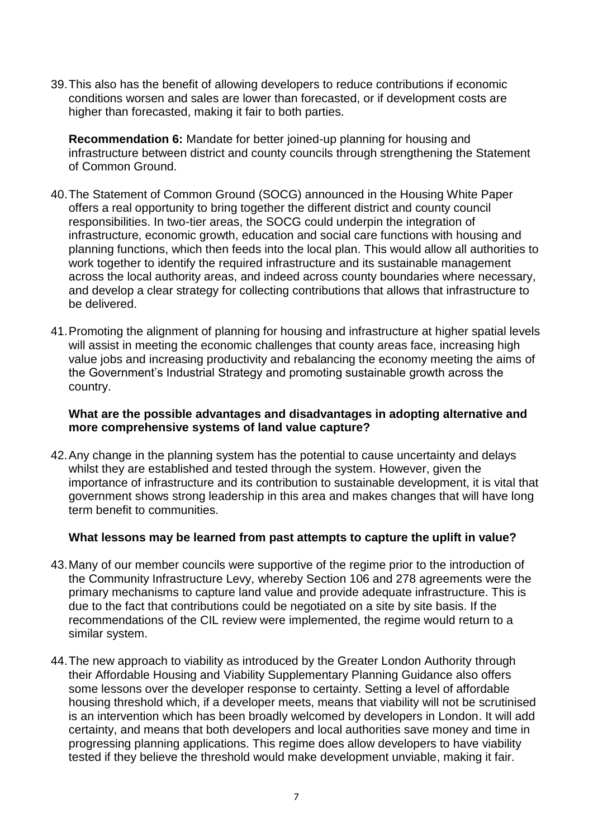39.This also has the benefit of allowing developers to reduce contributions if economic conditions worsen and sales are lower than forecasted, or if development costs are higher than forecasted, making it fair to both parties.

**Recommendation 6:** Mandate for better joined-up planning for housing and infrastructure between district and county councils through strengthening the Statement of Common Ground.

- 40.The Statement of Common Ground (SOCG) announced in the Housing White Paper offers a real opportunity to bring together the different district and county council responsibilities. In two-tier areas, the SOCG could underpin the integration of infrastructure, economic growth, education and social care functions with housing and planning functions, which then feeds into the local plan. This would allow all authorities to work together to identify the required infrastructure and its sustainable management across the local authority areas, and indeed across county boundaries where necessary, and develop a clear strategy for collecting contributions that allows that infrastructure to be delivered.
- 41.Promoting the alignment of planning for housing and infrastructure at higher spatial levels will assist in meeting the economic challenges that county areas face, increasing high value jobs and increasing productivity and rebalancing the economy meeting the aims of the Government's Industrial Strategy and promoting sustainable growth across the country.

### **What are the possible advantages and disadvantages in adopting alternative and more comprehensive systems of land value capture?**

42.Any change in the planning system has the potential to cause uncertainty and delays whilst they are established and tested through the system. However, given the importance of infrastructure and its contribution to sustainable development, it is vital that government shows strong leadership in this area and makes changes that will have long term benefit to communities.

#### **What lessons may be learned from past attempts to capture the uplift in value?**

- 43.Many of our member councils were supportive of the regime prior to the introduction of the Community Infrastructure Levy, whereby Section 106 and 278 agreements were the primary mechanisms to capture land value and provide adequate infrastructure. This is due to the fact that contributions could be negotiated on a site by site basis. If the recommendations of the CIL review were implemented, the regime would return to a similar system.
- 44.The new approach to viability as introduced by the Greater London Authority through their Affordable Housing and Viability Supplementary Planning Guidance also offers some lessons over the developer response to certainty. Setting a level of affordable housing threshold which, if a developer meets, means that viability will not be scrutinised is an intervention which has been broadly welcomed by developers in London. It will add certainty, and means that both developers and local authorities save money and time in progressing planning applications. This regime does allow developers to have viability tested if they believe the threshold would make development unviable, making it fair.